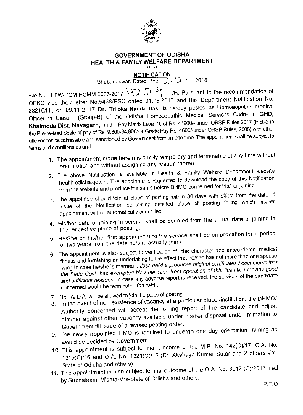

## **GOVERNMENT OF ODISHA HEALTH & FAMILY WELFARE DEPARTMENT**  \*\*\*\*\*

**NOTIFICATION** 

Bhubaneswar, Dated the  $2 \cdot 2018$ 

File No. HFW-HOM-HOMM-0067-2017  $\bigcup_{n=1}^{\infty}$  /H, Pursuant to the recommendation of OPSC vide their letter No.5438/PSC dated 31.08.2017 and this Department Notification No. 28210/H., dt. 09.11.2017 **Dr.** Triloka Nanda Das, is hereby posted as Homoeopathic Medical Officer in Class-II (Group-B) of the Odisha Homoeopathic Medical Services Cadre in **GHD, Khalmoda,Dist, Nayagarh,** in the Pay Matrix Level 10 of Rs. 44900/- under ORSP Rules 2017 (P.B.-2 in the Pre-revised Scale of pay of Rs. 9,300-34,800/- + Grade Pay Rs. 4600/-under ORSP Rules, 2008) with other allowances as admissible and sanctioned by Government from time to time. The appointment shall be subject to terms and conditions as under:

- 1. The appointment made herein is purely temporary and terminable at any time without prior notice and without assigning any reason thereof.
- 2. The above Notification is available in Health & Family Welfare Department website health.odisha.gov.in. The appointee is requested to download the copy of this Notification from the website and produce the same before DHMO concerned for his/her joining.
- 3. The appointee should join at place of posting within 30 days with effect from the date of issue of the Notification containing detailed place of posting failing which his/her appointment will be automatically cancelled.
- 4. His/her date of joining in service shall be counted from the actual date of joining in the respective place of posting.
- 5. He/She on his/her first appointment to the service shall be on probation for a period of two years from the date he/she actually joins
- 6. The appointment is also subject to verification of the character and antecedents, medical fitness and furnishing an undertaking to the effect that he/she has not more than one spouse living in case he/she is married unless he/she produces original certificates / documents that the State Govt. has exempted his / her case from operation of this limitation for any good and sufficient reasons. In case any adverse report is received, the services of the candidate concerned would be terminated forthwith.
- 7. No TA/ D.A. will be allowed to join the place of posung
- 8. In the event of non-existence of vacancy at a particular place /institution, the DHMO/<br>8. In the event of non-existence of vacancy at a part of the candidate and adjust Authority concerned will accept the joining report of the candidate and adjust him/her against other vacancy available under his/her disposal under intimation to Government till issue of a revised posting order.
- 9. The newly appointed HMO is required to undergo one day orientation training as would be decided by Government.
- 10. This appointment is subject to final outcome of the M.P. No. 142(C)/17, O.A. No. 1319(C)/16 and O.A. No. 1321(C)/16 (Dr. Akshaya Kumar Sutar and 2 others-Vrs-State of Odisha and others).
- 11. This appointment is also subject to final outcome of the O.A. No. 3012 (C)/2017 filed by Subhalaxmi Mishra-Vrs-State of Odisha and others.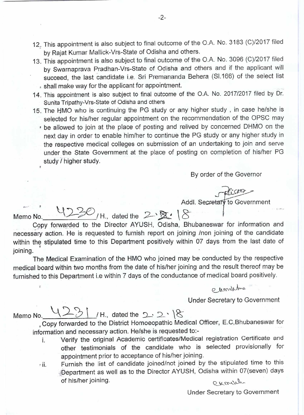- 12 This appointment is also subject to final outcome of the O.A. No, 3183 (C)/2017 filed by Rajat Kumar Mallick-Vrs-State of Odisha and others.
- 13. This appointment is also subject to final outcome of the O.A. No. 3096 (C)/2017 filed by Swarnaprava Pradhan-Vrs-State of Odisha and others and if the applicant will succeed, the last candidate i.e. Sri Premananda Behera (S1.166) of the select list shall make way for the applicant for appointment.
- 14. This appointment is also subject to final outcome of the O.A. No. 2017/2017 filed by Dr, Sunita Tripathy-Vrs-State of Odisha and others
- 15. The HMO who is continuing the PG study or any higher study , in case he/she is selected for his/her regular appointment on the recommendation of the OPSC may
	- be allowed to join at the place of posting and relived by concerned DHMO on the next day in order to enable him/her to continue the PG study or any higher study in the respective medical colleges on submission of an undertaking to join and serve under the State Government at the place of posting on completion of his/her PG study / higher study.

By order of the Governor

Addl. Secretary to Government

Memo No.  $\frac{4220}{1}$ /H., dated the  $2\frac{8}{18}$  |  $8$ Copy forwarded to the Director AYUSH, Odisha, Bhubaneswar for information and necessary action. He is requested to furnish report on joining /non joining of the candidate within the stipulated time to this Department positively within 07 days from the last date of joining. joining of the candidays from the last date<br>ducted by the respective respective result thereof may<br>edical board positively<br>extensive ecretary to Governmer

The Medical Examination of the HMO who joined may be conducted by the respective medical board within two months from the date of his/her joining and the result thereof may be furnished to this Department i.e within 7 days of the conductance of medical board positively.

Under Secretary to Government

Memo No.  $\frac{1231}{1}$  / H., dated the 2 · 2 · 18

Copy forwarded to the District Homoeopathic Medical Officer, E.C,Bhubaneswar for information and necessary action. He/she is requested to:-

- i. Verify the original Academic certificates/Medical registration Certificate and other testimonials of the candidate who is selected provisionally for appointment prior to acceptance of his/her joining.
- ii. Furnish the list of candidate joined/not joined by the stipulated time to this ,Department as well as to the Director AYUSH, Odisha within 07(seven) days of his/her joining. curville

Under Secretary to Government